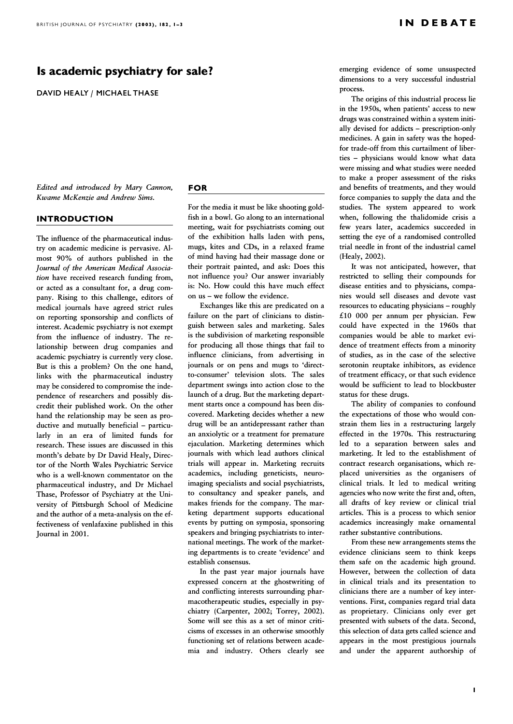# Is academic psychiatry for sale?

DAVID HEALY / MICHAEL THASE

Edited and introduced by Mary Cannon, Kwame McKenzie and Andrew Sims.

#### **INTRODUCTION**

The influence of the pharmaceutical industry on academic medicine is pervasive. Almost 90% of authors published in the Journal of the American Medical Association have received research funding from, or acted as a consultant for, a drug company. Rising to this challenge, editors of medical journals have agreed strict rules on reporting sponsorship and conflicts of interest. Academic psychiatry is not exempt from the influence of industry. The relationship between drug companies and academic psychiatry is currently very close. But is this a problem? On the one hand, links with the pharmaceutical industry may be considered to compromise the independence of researchers and possibly discredit their published work. On the other hand the relationship may be seen as productive and mutually beneficial – particularly in an era of limited funds for research. These issues are discussed in this month's debate by Dr David Healy, Director of the North Wales Psychiatric Service who is a well-known commentator on the pharmaceutical industry, and Dr Michael Thase, Professor of Psychiatry at the University of Pittsburgh School of Medicine and the author of a meta-analysis on the effectiveness of venlafaxine published in this Journal in 2001.

## **FOR**

For the media it must be like shooting goldfish in a bowl. Go along to an international meeting, wait for psychiatrists coming out of the exhibition halls laden with pens, mugs, kites and CDs, in a relaxed frame of mind having had their massage done or their portrait painted, and ask: Does this not influence you? Our answer invariably is: No. How could this have much effect on us – we follow the evidence.

Exchanges like this are predicated on a failure on the part of clinicians to distinguish between sales and marketing. Sales is the subdivision of marketing responsible for producing all those things that fail to influence clinicians, from advertising in journals or on pens and mugs to 'direct- 'directto-consumer' television slots. The sales department swings into action close to the launch of a drug. But the marketing department starts once a compound has been discovered. Marketing decides whether a new drug will be an antidepressant rather than an anxiolytic or a treatment for premature ejaculation. Marketing determines which journals with which lead authors clinical trials will appear in. Marketing recruits academics, including geneticists, neuroimaging specialists and social psychiatrists, to consultancy and speaker panels, and makes friends for the company. The marketing department supports educational events by putting on symposia, sponsoring speakers and bringing psychiatrists to international meetings. The work of the marketing departments is to create 'evidence' and establish consensus.

In the past year major journals have expressed concern at the ghostwriting of and conflicting interests surrounding pharmacotherapeutic studies, especially in psy- macotherapeutic studies, especially in psychiatry (Carpenter, 2002; Torrey, 2002). Some will see this as a set of minor criticisms of excesses in an otherwise smoothly functioning set of relations between academia and industry. Others clearly see emerging evidence of some unsuspected dimensions to a very successful industrial process.

The origins of this industrial process lie in the 1950s, when patients' access to new drugs was constrained within a system initially devised for addicts – prescription-only medicines. A gain in safety was the hopedfor trade-off from this curtailment of liberties – physicians would know what data were missing and what studies were needed to make a proper assessment of the risks and benefits of treatments, and they would force companies to supply the data and the studies. The system appeared to work when, following the thalidomide crisis a few years later, academics succeeded in setting the eye of a randomised controlled trial needle in front of the industrial camel (Healy, 2002).

It was not anticipated, however, that restricted to selling their compounds for disease entities and to physicians, companies would sell diseases and devote vast resources to educating physicians – roughly £10 000 per annum per physician. Few could have expected in the 1960s that companies would be able to market evidence of treatment effects from a minority of studies, as in the case of the selective serotonin reuptake inhibitors, as evidence of treatment efficacy, or that such evidence would be sufficient to lead to blockbuster status for these drugs.

The ability of companies to confound the expectations of those who would constrain them lies in a restructuring largely effected in the 1970s. This restructuring led to a separation between sales and marketing. It led to the establishment of contract research organisations, which replaced universities as the organisers of clinical trials. It led to medical writing agencies who now write the first and, often, all drafts of key review or clinical trial articles. This is a process to which senior academics increasingly make ornamental rather substantive contributions.

From these new arrangements stems the evidence clinicians seem to think keeps them safe on the academic high ground. However, between the collection of data in clinical trials and its presentation to clinicians there are a number of key interventions. First, companies regard trial data as proprietary. Clinicians only ever get presented with subsets of the data. Second, this selection of data gets called science and appears in the most prestigious journals and under the apparent authorship of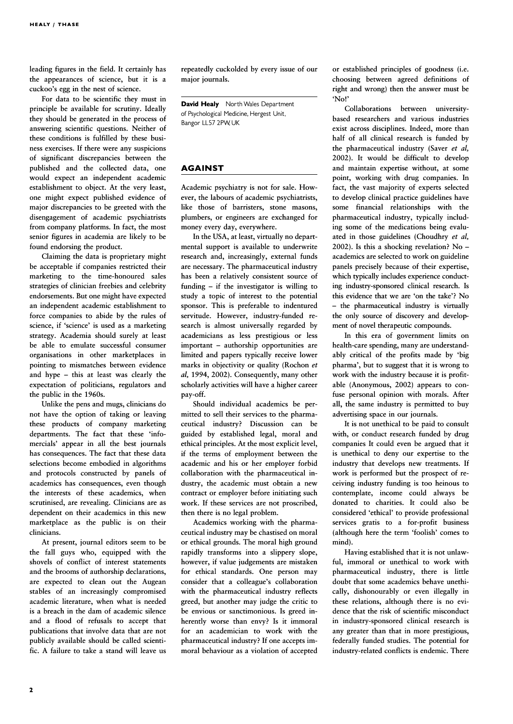leading figures in the field. It certainly has the appearances of science, but it is a cuckoo's egg in the nest of science.

For data to be scientific they must in principle be available for scrutiny. Ideally they should be generated in the process of answering scientific questions. Neither of these conditions is fulfilled by these business exercises. If there were any suspicions of significant discrepancies between the published and the collected data, one would expect an independent academic establishment to object. At the very least, one might expect published evidence of major discrepancies to be greeted with the disengagement of academic psychiatrists from company platforms. In fact, the most senior figures in academia are likely to be found endorsing the product.

Claiming the data is proprietary might be acceptable if companies restricted their marketing to the time-honoured sales strategies of clinician freebies and celebrity endorsements. But one might have expected an independent academic establishment to force companies to abide by the rules of science, if 'science' is used as a marketing strategy. Academia should surely at least be able to emulate successful consumer organisations in other marketplaces in pointing to mismatches between evidence and hype – this at least was clearly the expectation of politicians, regulators and the public in the 1960s.

Unlike the pens and mugs, clinicians do not have the option of taking or leaving these products of company marketing departments. The fact that these 'infomercials' appear in all the best journals has consequences. The fact that these data selections become embodied in algorithms and protocols constructed by panels of academics has consequences, even though the interests of these academics, when scrutinised, are revealing. Clinicians are as dependent on their academics in this new marketplace as the public is on their clinicians.

At present, journal editors seem to be the fall guys who, equipped with the shovels of conflict of interest statements and the brooms of authorship declarations, are expected to clean out the Augean stables of an increasingly compromised academic literature, when what is needed is a breach in the dam of academic silence and a flood of refusals to accept that publications that involve data that are not publicly available should be called scientific. A failure to take a stand will leave us repeatedly cuckolded by every issue of our major journals.

David Healy North Wales Department of Psychological Medicine, Hergest Unit, Bangor LL57 2PW,UK

## AGAINST

Academic psychiatry is not for sale. However, the labours of academic psychiatrists, like those of barristers, stone masons, plumbers, or engineers are exchanged for money every day, everywhere.

In the USA, at least, virtually no departmental support is available to underwrite research and, increasingly, external funds are necessary. The pharmaceutical industry has been a relatively consistent source of funding – if the investigator is willing to study a topic of interest to the potential sponsor. This is preferable to indentured servitude. However, industry-funded research is almost universally regarded by academicians as less prestigious or less important – authorship opportunities are limited and papers typically receive lower marks in objectivity or quality (Rochon et al, 1994, 2002). Consequently, many other scholarly activities will have a higher career pay-off.

Should individual academics be permitted to sell their services to the pharmaceutical industry? Discussion can be guided by established legal, moral and ethical principles. At the most explicit level, if the terms of employment between the academic and his or her employer forbid collaboration with the pharmaceutical industry, the academic must obtain a new contract or employer before initiating such work. If these services are not proscribed, then there is no legal problem.

Academics working with the pharmaceutical industry may be chastised on moral or ethical grounds. The moral high ground rapidly transforms into a slippery slope, however, if value judgements are mistaken for ethical standards. One person may consider that a colleague's collaboration with the pharmaceutical industry reflects greed, but another may judge the critic to be envious or sanctimonious. Is greed inherently worse than envy? Is it immoral for an academician to work with the pharmaceutical industry? If one accepts immoral behaviour as a violation of accepted or established principles of goodness (i.e. choosing between agreed definitions of right and wrong) then the answer must be 'No!'

Collaborations between universitybased researchers and various industries exist across disciplines. Indeed, more than half of all clinical research is funded by the pharmaceutical industry (Saver et al, 2002). It would be difficult to develop and maintain expertise without, at some point, working with drug companies. In fact, the vast majority of experts selected to develop clinical practice guidelines have some financial relationships with the pharmaceutical industry, typically including some of the medications being evaluated in those guidelines (Choudhry et al, 2002). Is this a shocking revelation? No – academics are selected to work on guideline panels precisely because of their expertise, which typically includes experience conducting industry-sponsored clinical research. Is this evidence that we are 'on the take'? No – the pharmaceutical industry is virtually – the pharmaceutical the only source of discovery and development of novel therapeutic compounds.

In this era of government limits on health-care spending, many are understandably critical of the profits made by 'big pharma', but to suggest that it is wrong to work with the industry because it is profitable (Anonymous, 2002) appears to confuse personal opinion with morals. After all, the same industry is permitted to buy advertising space in our journals.

It is not unethical to be paid to consult with, or conduct research funded by drug companies It could even be argued that it is unethical to deny our expertise to the industry that develops new treatments. If work is performed but the prospect of receiving industry funding is too heinous to contemplate, income could always be donated to charities. It could also be considered 'ethical' to provide professional services gratis to a for-profit business (although here the term 'foolish' comes to mind).

Having established that it is not unlawful, immoral or unethical to work with pharmaceutical industry, there is little doubt that some academics behave unethically, dishonourably or even illegally in these relations, although there is no evidence that the risk of scientific misconduct in industry-sponsored clinical research is any greater than that in more prestigious, federally funded studies. The potential for industry-related conflicts is endemic. There